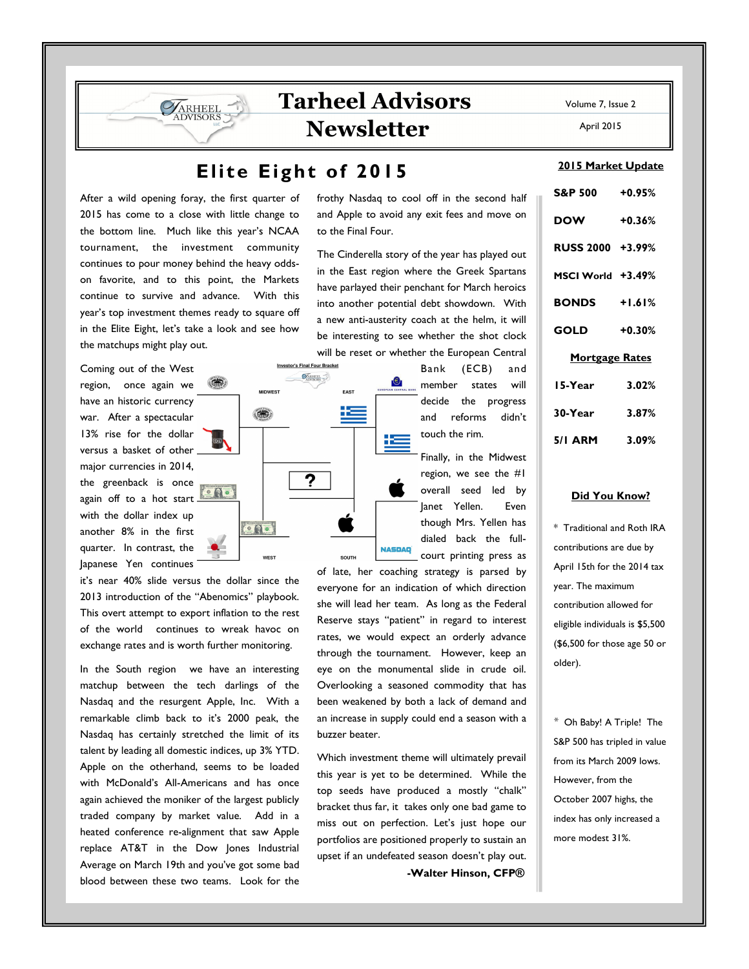# Tarheel Advisors **Newsletter**

## Elite Eight of 2015

**Investor's Final Four Bracket SARHEEL** 

?

**OD** 

 $\circ$  Qo

**WEST** 

After a wild opening foray, the first quarter of 2015 has come to a close with little change to the bottom line. Much like this year's NCAA tournament, the investment community continues to pour money behind the heavy oddson favorite, and to this point, the Markets continue to survive and advance. With this year's top investment themes ready to square off in the Elite Eight, let's take a look and see how the matchups might play out.

**VARHEEL** 

Coming out of the West region, once again we have an historic currency war. After a spectacular 13% rise for the dollar versus a basket of other major currencies in 2014, the greenback is once again off to a hot start with the dollar index up another 8% in the first quarter. In contrast, the Japanese Yen continues

it's near 40% slide versus the dollar since the 2013 introduction of the "Abenomics" playbook. This overt attempt to export inflation to the rest of the world continues to wreak havoc on exchange rates and is worth further monitoring.

 $\circ$ Q $\circ$ 

In the South region we have an interesting matchup between the tech darlings of the Nasdaq and the resurgent Apple, Inc. With a remarkable climb back to it's 2000 peak, the Nasdaq has certainly stretched the limit of its talent by leading all domestic indices, up 3% YTD. Apple on the otherhand, seems to be loaded with McDonald's All-Americans and has once again achieved the moniker of the largest publicly traded company by market value. Add in a heated conference re-alignment that saw Apple replace AT&T in the Dow Jones Industrial Average on March 19th and you've got some bad blood between these two teams. Look for the

frothy Nasdaq to cool off in the second half and Apple to avoid any exit fees and move on to the Final Four.

The Cinderella story of the year has played out in the East region where the Greek Spartans have parlayed their penchant for March heroics into another potential debt showdown. With a new anti-austerity coach at the helm, it will be interesting to see whether the shot clock will be reset or whether the European Central

> Bank (ECB) and member states will decide the progress and reforms didn't touch the rim.

Finally, in the Midwest region, we see the #1 overall seed led by Janet Yellen. Even though Mrs. Yellen has dialed back the fullcourt printing press as

of late, her coaching strategy is parsed by everyone for an indication of which direction she will lead her team. As long as the Federal Reserve stays "patient" in regard to interest rates, we would expect an orderly advance through the tournament. However, keep an eye on the monumental slide in crude oil. Overlooking a seasoned commodity that has been weakened by both a lack of demand and an increase in supply could end a season with a buzzer beater.

**NASDAO** 

SOUTH

Which investment theme will ultimately prevail this year is yet to be determined. While the top seeds have produced a mostly "chalk" bracket thus far, it takes only one bad game to miss out on perfection. Let's just hope our portfolios are positioned properly to sustain an upset if an undefeated season doesn't play out. -Walter Hinson, CFP®

Volume 7, Issue 2

April 2015

#### 2015 Market Update

| S&P 500 +0.95%        |          |
|-----------------------|----------|
| <b>DOW</b>            | $+0.36%$ |
| RUSS 2000 +3.99%      |          |
| MSCI World +3.49%     |          |
| <b>BONDS</b> +1.61%   |          |
| <b>GOLD</b>           | $+0.30%$ |
| <b>Mortgage Rates</b> |          |
| 15-Year               | 3.02%    |
| 30-Year               | 3.87%    |
| 5/1 ARM 3.09%         |          |
|                       |          |

#### Did You Know?

\* Traditional and Roth IRA contributions are due by April 15th for the 2014 tax year. The maximum contribution allowed for eligible individuals is \$5,500 (\$6,500 for those age 50 or older).

\* Oh Baby! A Triple! The S&P 500 has tripled in value from its March 2009 lows. However, from the October 2007 highs, the index has only increased a more modest 31%.